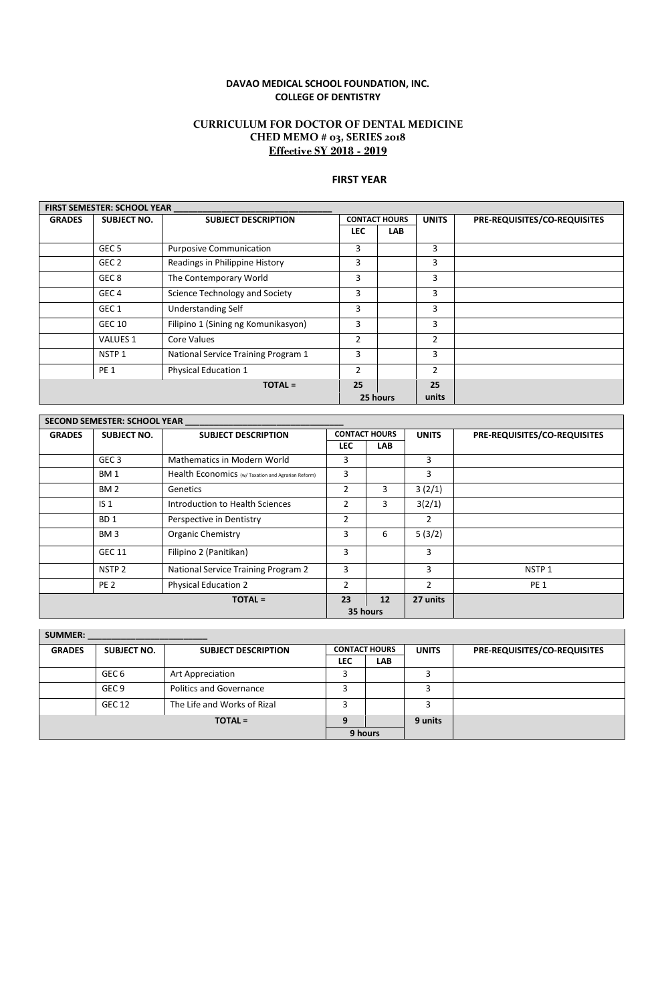#### **DAVAO MEDICAL SCHOOL FOUNDATION, INC. COLLEGE OF DENTISTRY**

### **CURRICULUM FOR DOCTOR OF DENTAL MEDICINE CHED MEMO # 03, SERIES 2018 Effective SY 2018 - 2019**

## **FIRST YEAR**

 $\overline{\mathbf{1}}$ 

|               | <b>FIRST SEMESTER: SCHOOL YEAR</b> |                                     |                      |            |                |                              |
|---------------|------------------------------------|-------------------------------------|----------------------|------------|----------------|------------------------------|
| <b>GRADES</b> | <b>SUBJECT NO.</b>                 | <b>SUBJECT DESCRIPTION</b>          | <b>CONTACT HOURS</b> |            | <b>UNITS</b>   | PRE-REQUISITES/CO-REQUISITES |
|               |                                    |                                     | <b>LEC</b>           | <b>LAB</b> |                |                              |
|               | GEC <sub>5</sub>                   | <b>Purposive Communication</b>      | 3                    |            | 3              |                              |
|               | GEC 2                              | Readings in Philippine History      | 3                    |            | 3              |                              |
|               | GEC <sub>8</sub>                   | The Contemporary World              | 3                    |            | 3              |                              |
|               | GEC <sub>4</sub>                   | Science Technology and Society      | 3                    |            | 3              |                              |
|               | GEC <sub>1</sub>                   | <b>Understanding Self</b>           | 3                    |            | 3              |                              |
|               | <b>GEC 10</b>                      | Filipino 1 (Sining ng Komunikasyon) | 3                    |            | 3              |                              |
|               | <b>VALUES 1</b>                    | Core Values                         | 2                    |            | $\overline{2}$ |                              |
|               | NSTP <sub>1</sub>                  | National Service Training Program 1 | 3                    |            | 3              |                              |
|               | PE <sub>1</sub>                    | <b>Physical Education 1</b>         | $\overline{2}$       |            | $\mathcal{P}$  |                              |
|               |                                    | $TOTAL =$                           | 25                   |            | 25             |                              |
|               |                                    |                                     |                      | 25 hours   | units          |                              |

| Mathematics in Modern World<br>Health Economics (w/ Taxation and Agrarian Reform)<br><b>Genetics</b><br>Introduction to Health Sciences<br>Perspective in Dentistry | <b>LEC</b><br>3<br>3<br>2<br>2<br>2 | <b>LAB</b><br>3<br>3 | 3<br>3<br>3(2/1)<br>3(2/1) |                   |
|---------------------------------------------------------------------------------------------------------------------------------------------------------------------|-------------------------------------|----------------------|----------------------------|-------------------|
|                                                                                                                                                                     |                                     |                      |                            |                   |
|                                                                                                                                                                     |                                     |                      |                            |                   |
|                                                                                                                                                                     |                                     |                      |                            |                   |
|                                                                                                                                                                     |                                     |                      |                            |                   |
|                                                                                                                                                                     |                                     |                      |                            |                   |
|                                                                                                                                                                     |                                     |                      | 2                          |                   |
| <b>Organic Chemistry</b>                                                                                                                                            | 3                                   | 6                    | 5(3/2)                     |                   |
| Filipino 2 (Panitikan)                                                                                                                                              | 3                                   |                      | 3                          |                   |
| National Service Training Program 2                                                                                                                                 | 3                                   |                      | 3                          | NSTP <sub>1</sub> |
| <b>Physical Education 2</b>                                                                                                                                         | 2                                   |                      | 2                          | <b>PE 1</b>       |
| <b>TOTAL =</b>                                                                                                                                                      | 23                                  | 12                   | 27 units                   |                   |
|                                                                                                                                                                     |                                     |                      |                            | 35 hours          |

| <b>SUMMER:</b> |                  |                                |                      |            |              |                              |
|----------------|------------------|--------------------------------|----------------------|------------|--------------|------------------------------|
| <b>GRADES</b>  | SUBJECT NO.      | <b>SUBJECT DESCRIPTION</b>     | <b>CONTACT HOURS</b> |            | <b>UNITS</b> | PRE-REQUISITES/CO-REQUISITES |
|                |                  |                                | LEC                  | <b>LAB</b> |              |                              |
|                | GEC 6            | Art Appreciation               |                      |            |              |                              |
|                | GEC <sub>9</sub> | <b>Politics and Governance</b> |                      |            |              |                              |
|                | <b>GEC 12</b>    | The Life and Works of Rizal    |                      |            |              |                              |
|                |                  | $TOTAL =$                      |                      |            | 9 units      |                              |
|                |                  |                                |                      | 9 hours    |              |                              |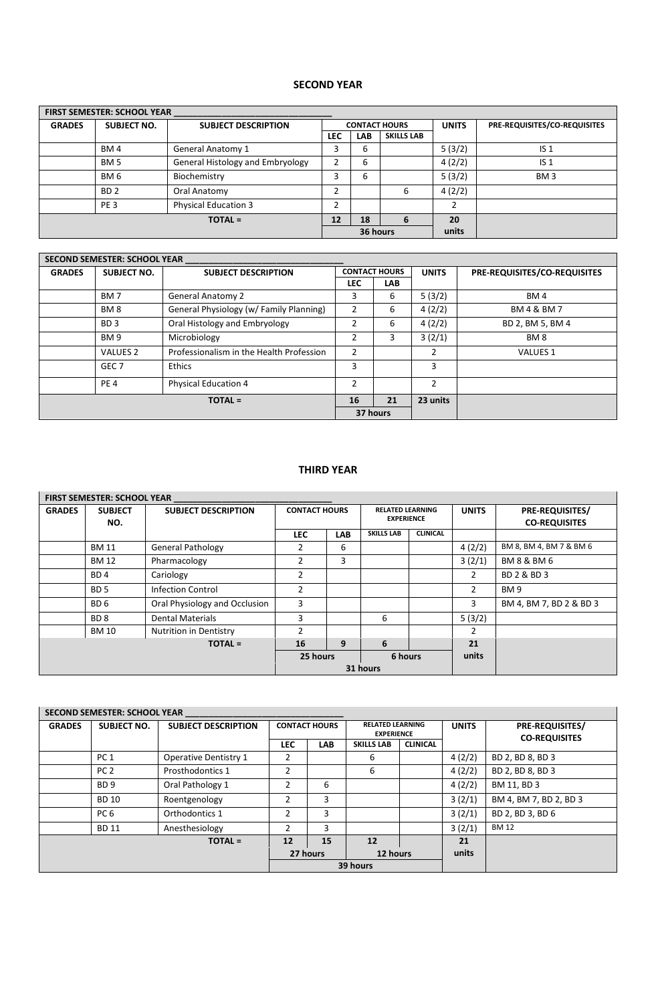# **SECOND YEAR**

|                | <b>FIRST SEMESTER: SCHOOL YEAR</b> |                                  |            |                      |                   |        |                              |  |  |  |  |
|----------------|------------------------------------|----------------------------------|------------|----------------------|-------------------|--------|------------------------------|--|--|--|--|
| <b>GRADES</b>  | <b>SUBJECT NO.</b>                 | <b>SUBJECT DESCRIPTION</b>       |            | <b>CONTACT HOURS</b> |                   |        | PRE-REQUISITES/CO-REQUISITES |  |  |  |  |
|                |                                    |                                  | <b>LEC</b> | <b>LAB</b>           | <b>SKILLS LAB</b> |        |                              |  |  |  |  |
|                | BM4                                | <b>General Anatomy 1</b>         | 3          | 6                    |                   | 5(3/2) | IS <sub>1</sub>              |  |  |  |  |
|                | <b>BM 5</b>                        | General Histology and Embryology |            | 6                    |                   | 4(2/2) | IS <sub>1</sub>              |  |  |  |  |
|                | BM 6                               | Biochemistry                     | 3          | 6                    |                   | 5(3/2) | BM <sub>3</sub>              |  |  |  |  |
|                | BD <sub>2</sub>                    | Oral Anatomy                     |            |                      | 6                 | 4(2/2) |                              |  |  |  |  |
|                | PE <sub>3</sub>                    | <b>Physical Education 3</b>      |            |                      |                   |        |                              |  |  |  |  |
| <b>TOTAL =</b> |                                    |                                  |            | 18                   | 6                 | 20     |                              |  |  |  |  |
|                |                                    |                                  | 36 hours   |                      | units             |        |                              |  |  |  |  |

|               | <b>SECOND SEMESTER: SCHOOL YEAR</b> |                                          |               |                      |                |                              |
|---------------|-------------------------------------|------------------------------------------|---------------|----------------------|----------------|------------------------------|
| <b>GRADES</b> | SUBJECT NO.                         | <b>SUBJECT DESCRIPTION</b>               |               | <b>CONTACT HOURS</b> | <b>UNITS</b>   | PRE-REQUISITES/CO-REQUISITES |
|               |                                     |                                          | <b>LEC</b>    | <b>LAB</b>           |                |                              |
|               | BM <sub>7</sub>                     | <b>General Anatomy 2</b>                 | 3             | 6                    | 5(3/2)         | BM4                          |
|               | BM <sub>8</sub>                     | General Physiology (w/ Family Planning)  | 2             | 6                    | 4(2/2)         | BM 4 & BM 7                  |
|               | BD <sub>3</sub>                     | Oral Histology and Embryology            | $\mathcal{P}$ | 6                    | 4(2/2)         | BD 2, BM 5, BM 4             |
|               | BM <sub>9</sub>                     | Microbiology                             | 2             | 3                    | 3(2/1)         | BM <sub>8</sub>              |
|               | <b>VALUES 2</b>                     | Professionalism in the Health Profession | $\mathcal{P}$ |                      | 2              | VALUES 1                     |
|               | GEC <sub>7</sub>                    | <b>Ethics</b>                            | 3             |                      | 3              |                              |
|               | PE <sub>4</sub>                     | <b>Physical Education 4</b>              | $\mathcal{P}$ |                      | $\mathfrak{p}$ |                              |
|               |                                     | <b>TOTAL =</b>                           | 16            | 21                   | 23 units       |                              |
|               |                                     |                                          |               | 37 hours             |                |                              |

# **THIRD YEAR**

|               | <b>FIRST SEMESTER: SCHOOL YEAR</b> |                               |                                                                      |            |                   |                 |                                                |                         |
|---------------|------------------------------------|-------------------------------|----------------------------------------------------------------------|------------|-------------------|-----------------|------------------------------------------------|-------------------------|
| <b>GRADES</b> | <b>SUBJECT</b><br>NO.              | <b>SUBJECT DESCRIPTION</b>    | <b>CONTACT HOURS</b><br><b>RELATED LEARNING</b><br><b>EXPERIENCE</b> |            | <b>UNITS</b>      |                 | <b>PRE-REQUISITES/</b><br><b>CO-REQUISITES</b> |                         |
|               |                                    |                               | <b>LEC</b>                                                           | <b>LAB</b> | <b>SKILLS LAB</b> | <b>CLINICAL</b> |                                                |                         |
|               | <b>BM 11</b>                       | <b>General Pathology</b>      | 2                                                                    | 6          |                   |                 | 4(2/2)                                         | BM 8, BM 4, BM 7 & BM 6 |
|               | <b>BM 12</b>                       | Pharmacology                  | 2                                                                    | 3          |                   |                 | 3(2/1)                                         | <b>BM 8 &amp; BM 6</b>  |
|               | BD <sub>4</sub>                    | Cariology                     | $\overline{2}$                                                       |            |                   |                 | 2                                              | BD 2 & BD 3             |
|               | BD <sub>5</sub>                    | Infection Control             | 2                                                                    |            |                   |                 | 2                                              | BM <sub>9</sub>         |
|               | BD <sub>6</sub>                    | Oral Physiology and Occlusion | 3                                                                    |            |                   |                 | 3                                              | BM 4, BM 7, BD 2 & BD 3 |
|               | BD <sub>8</sub>                    | <b>Dental Materials</b>       | 3                                                                    |            | 6                 |                 | 5(3/2)                                         |                         |
|               | <b>BM 10</b>                       | <b>Nutrition in Dentistry</b> | $\overline{2}$                                                       |            |                   |                 | 2                                              |                         |
|               |                                    | <b>TOTAL</b> =                | 16                                                                   | 9          | 6                 |                 | 21                                             |                         |
|               |                                    |                               |                                                                      | 25 hours   |                   | 6 hours         | units                                          |                         |
|               |                                    |                               | 31 hours                                                             |            |                   |                 |                                                |                         |

|               | <b>SECOND SEMESTER: SCHOOL YEAR</b> |                              |                      |            |                                              |                 |              |                                                |  |  |  |
|---------------|-------------------------------------|------------------------------|----------------------|------------|----------------------------------------------|-----------------|--------------|------------------------------------------------|--|--|--|
| <b>GRADES</b> | <b>SUBJECT NO.</b>                  | <b>SUBJECT DESCRIPTION</b>   | <b>CONTACT HOURS</b> |            | <b>RELATED LEARNING</b><br><b>EXPERIENCE</b> |                 | <b>UNITS</b> | <b>PRE-REQUISITES/</b><br><b>CO-REQUISITES</b> |  |  |  |
|               |                                     |                              | <b>LEC</b>           | <b>LAB</b> | <b>SKILLS LAB</b>                            | <b>CLINICAL</b> |              |                                                |  |  |  |
|               | PC <sub>1</sub>                     | <b>Operative Dentistry 1</b> | 2                    |            | 6                                            |                 | 4(2/2)       | BD 2, BD 8, BD 3                               |  |  |  |
|               | PC <sub>2</sub>                     | Prosthodontics 1             | $\overline{2}$       |            | 6                                            |                 | 4(2/2)       | BD 2, BD 8, BD 3                               |  |  |  |
|               | BD <sub>9</sub>                     | Oral Pathology 1             | 2                    | 6          |                                              |                 | 4(2/2)       | BM 11, BD 3                                    |  |  |  |
|               | <b>BD 10</b>                        | Roentgenology                | 2                    | 3          |                                              |                 | 3(2/1)       | BM 4, BM 7, BD 2, BD 3                         |  |  |  |
|               | PC <sub>6</sub>                     | Orthodontics 1               | $\overline{2}$       | 3          |                                              |                 | 3(2/1)       | BD 2, BD 3, BD 6                               |  |  |  |
|               | <b>BD 11</b>                        | Anesthesiology               | 2                    | 3          |                                              |                 | 3(2/1)       | <b>BM 12</b>                                   |  |  |  |
|               |                                     | <b>TOTAL =</b>               | 12                   | 15         | 12                                           |                 | 21           |                                                |  |  |  |
|               |                                     |                              |                      | 27 hours   | 12 hours                                     |                 | units        |                                                |  |  |  |
|               |                                     |                              |                      |            | 39 hours                                     |                 |              |                                                |  |  |  |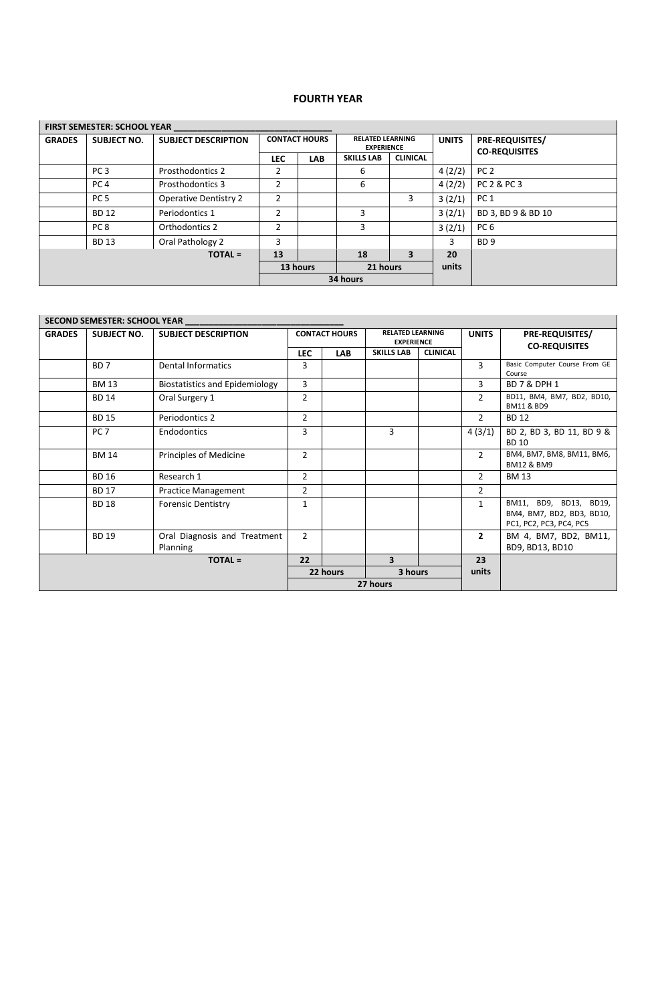## **FOURTH YEAR**

|               | <b>FIRST SEMESTER: SCHOOL YEAR</b> |                              |                |                      |                   |                                              |        |                                                |  |  |  |  |
|---------------|------------------------------------|------------------------------|----------------|----------------------|-------------------|----------------------------------------------|--------|------------------------------------------------|--|--|--|--|
| <b>GRADES</b> | <b>SUBJECT NO.</b>                 | <b>SUBJECT DESCRIPTION</b>   |                | <b>CONTACT HOURS</b> |                   | <b>RELATED LEARNING</b><br><b>EXPERIENCE</b> |        | <b>PRE-REQUISITES/</b><br><b>CO-REQUISITES</b> |  |  |  |  |
|               |                                    |                              | <b>LEC</b>     | <b>LAB</b>           | <b>SKILLS LAB</b> | <b>CLINICAL</b>                              |        |                                                |  |  |  |  |
|               | PC <sub>3</sub>                    | <b>Prosthodontics 2</b>      | 2              |                      | 6                 |                                              | 4(2/2) | PC <sub>2</sub>                                |  |  |  |  |
|               | PC <sub>4</sub>                    | Prosthodontics 3             | 2              |                      | 6                 |                                              | 4(2/2) | PC 2 & PC 3                                    |  |  |  |  |
|               | PC <sub>5</sub>                    | <b>Operative Dentistry 2</b> | $\overline{2}$ |                      |                   | 3                                            | 3(2/1) | PC <sub>1</sub>                                |  |  |  |  |
|               | <b>BD 12</b>                       | Periodontics 1               | $\overline{2}$ |                      | 3                 |                                              | 3(2/1) | BD 3, BD 9 & BD 10                             |  |  |  |  |
|               | PC <sub>8</sub>                    | Orthodontics 2               | $\mathfrak z$  |                      | 3                 |                                              | 3(2/1) | PC <sub>6</sub>                                |  |  |  |  |
|               | <b>BD 13</b>                       | Oral Pathology 2             | 3              |                      |                   |                                              | 3      | BD <sub>9</sub>                                |  |  |  |  |
|               |                                    | <b>TOTAL</b> =               | 13             |                      | 18                | 3                                            | 20     |                                                |  |  |  |  |
|               | 21 hours<br>13 hours               |                              |                |                      |                   |                                              |        |                                                |  |  |  |  |
|               |                                    |                              |                |                      | 34 hours          |                                              |        |                                                |  |  |  |  |

|                | <b>SECOND SEMESTER: SCHOOL YEAR</b> |                                          |                |                      |                         |                                              |                |                                                                                |
|----------------|-------------------------------------|------------------------------------------|----------------|----------------------|-------------------------|----------------------------------------------|----------------|--------------------------------------------------------------------------------|
| <b>GRADES</b>  | <b>SUBJECT NO.</b>                  | <b>SUBJECT DESCRIPTION</b>               |                | <b>CONTACT HOURS</b> |                         | <b>RELATED LEARNING</b><br><b>EXPERIENCE</b> |                | <b>PRE-REQUISITES/</b><br><b>CO-REQUISITES</b>                                 |
|                |                                     |                                          | LEC.           | <b>LAB</b>           | <b>SKILLS LAB</b>       | <b>CLINICAL</b>                              |                |                                                                                |
|                | BD <sub>7</sub>                     | <b>Dental Informatics</b>                | 3              |                      |                         |                                              | 3              | Basic Computer Course From GE<br>Course                                        |
|                | <b>BM 13</b>                        | <b>Biostatistics and Epidemiology</b>    | 3              |                      |                         |                                              | 3              | <b>BD 7 &amp; DPH 1</b>                                                        |
|                | <b>BD 14</b>                        | Oral Surgery 1                           | $\overline{2}$ |                      |                         |                                              | $\mathfrak{D}$ | BD11, BM4, BM7, BD2, BD10,<br><b>BM11 &amp; BD9</b>                            |
|                | <b>BD 15</b>                        | Periodontics 2                           | $\overline{2}$ |                      |                         |                                              | $\overline{2}$ | <b>BD 12</b>                                                                   |
|                | PC <sub>7</sub>                     | Endodontics                              | 3              |                      | 3                       |                                              | 4(3/1)         | BD 2, BD 3, BD 11, BD 9 &<br><b>BD 10</b>                                      |
|                | <b>BM 14</b>                        | Principles of Medicine                   | $\overline{2}$ |                      |                         |                                              | $\mathcal{P}$  | BM4, BM7, BM8, BM11, BM6,<br><b>BM12 &amp; BM9</b>                             |
|                | <b>BD 16</b>                        | Research 1                               | $\overline{2}$ |                      |                         |                                              | $\overline{2}$ | <b>BM 13</b>                                                                   |
|                | <b>BD 17</b>                        | <b>Practice Management</b>               | $\overline{2}$ |                      |                         |                                              | $\overline{2}$ |                                                                                |
|                | <b>BD 18</b>                        | <b>Forensic Dentistry</b>                | 1              |                      |                         |                                              | 1              | BM11, BD9, BD13, BD19,<br>BM4, BM7, BD2, BD3, BD10,<br>PC1, PC2, PC3, PC4, PC5 |
|                | <b>BD 19</b>                        | Oral Diagnosis and Treatment<br>Planning | $\overline{2}$ |                      |                         |                                              | $\mathbf{2}$   | BM 4, BM7, BD2, BM11,<br>BD9, BD13, BD10                                       |
| <b>TOTAL =</b> |                                     |                                          |                |                      | $\overline{\mathbf{3}}$ |                                              | 23             |                                                                                |
|                |                                     |                                          |                | 3 hours<br>22 hours  |                         |                                              | units          |                                                                                |
| 27 hours       |                                     |                                          |                |                      |                         |                                              |                |                                                                                |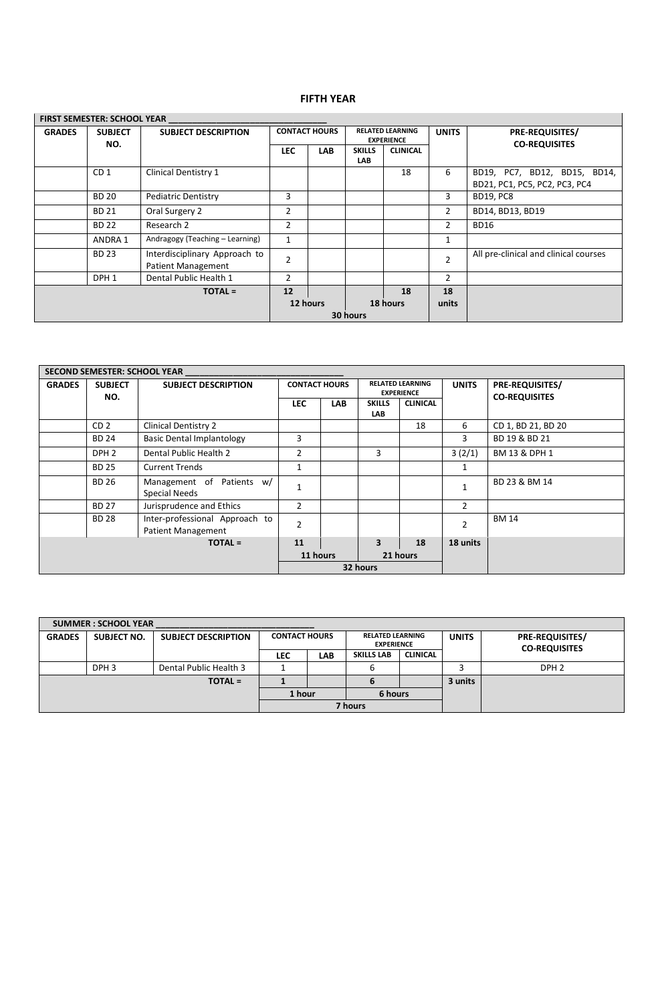## **FIFTH YEAR**

|               | <b>FIRST SEMESTER: SCHOOL YEAR</b> |                                                     |                      |                      |                                              |                 |                |                                                |
|---------------|------------------------------------|-----------------------------------------------------|----------------------|----------------------|----------------------------------------------|-----------------|----------------|------------------------------------------------|
| <b>GRADES</b> | <b>SUBJECT</b><br>NO.              | <b>SUBJECT DESCRIPTION</b>                          |                      | <b>CONTACT HOURS</b> | <b>RELATED LEARNING</b><br><b>EXPERIENCE</b> |                 | <b>UNITS</b>   | <b>PRE-REQUISITES/</b><br><b>CO-REQUISITES</b> |
|               |                                    |                                                     | <b>LEC</b>           | <b>LAB</b>           | <b>SKILLS</b>                                | <b>CLINICAL</b> |                |                                                |
|               |                                    |                                                     |                      |                      | <b>LAB</b>                                   |                 |                |                                                |
|               | CD <sub>1</sub>                    | Clinical Dentistry 1                                |                      |                      |                                              | 18              | 6              | BD19, PC7, BD12, BD15, BD14,                   |
|               |                                    |                                                     |                      |                      |                                              |                 |                | BD21, PC1, PC5, PC2, PC3, PC4                  |
|               | <b>BD 20</b>                       | <b>Pediatric Dentistry</b>                          | 3                    |                      |                                              |                 | 3              | <b>BD19, PC8</b>                               |
|               | <b>BD 21</b>                       | Oral Surgery 2                                      | 2                    |                      |                                              |                 | 2              | BD14, BD13, BD19                               |
|               | <b>BD 22</b>                       | Research 2                                          | 2                    |                      |                                              |                 | 2              | <b>BD16</b>                                    |
|               | ANDRA 1                            | Andragogy (Teaching - Learning)                     | $\mathbf{1}$         |                      |                                              |                 | 1              |                                                |
|               | <b>BD 23</b>                       | Interdisciplinary Approach to<br>Patient Management | 2                    |                      |                                              |                 | $\overline{2}$ | All pre-clinical and clinical courses          |
|               | DPH <sub>1</sub>                   | Dental Public Health 1                              | $\overline{2}$       |                      |                                              |                 | $\mathcal{P}$  |                                                |
|               |                                    | $TOTAL =$                                           | 12                   |                      |                                              | 18              | 18             |                                                |
|               |                                    |                                                     | 12 hours<br>18 hours |                      | units                                        |                 |                |                                                |
|               |                                    |                                                     | 30 hours             |                      |                                              |                 |                |                                                |

#### **SECOND SEMESTER: SCHOOL YEAR \_\_\_\_\_\_\_\_\_\_\_\_\_\_\_\_\_\_\_\_\_\_\_\_\_\_\_\_\_\_\_\_\_**

|               | <b>SECOND SEMESTER: SCHOOL YEAR</b> |                                                             |                      |            |                             |                                              |                |                                                |  |  |
|---------------|-------------------------------------|-------------------------------------------------------------|----------------------|------------|-----------------------------|----------------------------------------------|----------------|------------------------------------------------|--|--|
| <b>GRADES</b> | <b>SUBJECT</b><br>NO.               | <b>SUBJECT DESCRIPTION</b>                                  | <b>CONTACT HOURS</b> |            |                             | <b>RELATED LEARNING</b><br><b>EXPERIENCE</b> | <b>UNITS</b>   | <b>PRE-REQUISITES/</b><br><b>CO-REQUISITES</b> |  |  |
|               |                                     |                                                             | <b>LEC</b>           | <b>LAB</b> | <b>SKILLS</b><br><b>LAB</b> | <b>CLINICAL</b>                              |                |                                                |  |  |
|               | CD <sub>2</sub>                     | Clinical Dentistry 2                                        |                      |            |                             | 18                                           | 6              | CD 1, BD 21, BD 20                             |  |  |
|               | <b>BD 24</b>                        | <b>Basic Dental Implantology</b>                            | 3                    |            |                             |                                              | 3              | BD 19 & BD 21                                  |  |  |
|               | DPH <sub>2</sub>                    | Dental Public Health 2                                      | 2                    |            | 3                           |                                              | 3(2/1)         | BM 13 & DPH 1                                  |  |  |
|               | <b>BD 25</b>                        | <b>Current Trends</b>                                       |                      |            |                             |                                              | 1              |                                                |  |  |
|               | <b>BD 26</b>                        | Management of Patients w/<br><b>Special Needs</b>           |                      |            |                             |                                              | 1              | BD 23 & BM 14                                  |  |  |
|               | <b>BD 27</b>                        | Jurisprudence and Ethics                                    | $\overline{2}$       |            |                             |                                              | $\overline{2}$ |                                                |  |  |
|               | <b>BD 28</b>                        | Inter-professional Approach to<br><b>Patient Management</b> | $\overline{2}$       |            |                             |                                              | $\overline{2}$ | <b>BM 14</b>                                   |  |  |
|               |                                     | <b>TOTAL =</b>                                              | 11                   |            | $\overline{\mathbf{3}}$     | 18                                           | 18 units       |                                                |  |  |
|               |                                     |                                                             | 11 hours<br>21 hours |            |                             |                                              |                |                                                |  |  |
|               |                                     |                                                             |                      |            | 32 hours                    |                                              |                |                                                |  |  |

|               | <b>SUMMER: SCHOOL YEAR</b> |                            |            |                                                                      |                   |                 |                                                |                  |
|---------------|----------------------------|----------------------------|------------|----------------------------------------------------------------------|-------------------|-----------------|------------------------------------------------|------------------|
| <b>GRADES</b> | <b>SUBJECT NO.</b>         | <b>SUBJECT DESCRIPTION</b> |            | <b>RELATED LEARNING</b><br><b>CONTACT HOURS</b><br><b>EXPERIENCE</b> |                   | <b>UNITS</b>    | <b>PRE-REQUISITES/</b><br><b>CO-REQUISITES</b> |                  |
|               |                            |                            | <b>LEC</b> | <b>LAB</b>                                                           | <b>SKILLS LAB</b> | <b>CLINICAL</b> |                                                |                  |
|               | DPH <sub>3</sub>           | Dental Public Health 3     |            |                                                                      | ь                 |                 |                                                | DPH <sub>2</sub> |
|               |                            | $TOTAL =$                  |            |                                                                      | 6                 |                 | 3 units                                        |                  |
|               |                            |                            |            | 6 hours<br>1 hour                                                    |                   |                 |                                                |                  |
|               |                            |                            | 7 hours    |                                                                      |                   |                 |                                                |                  |